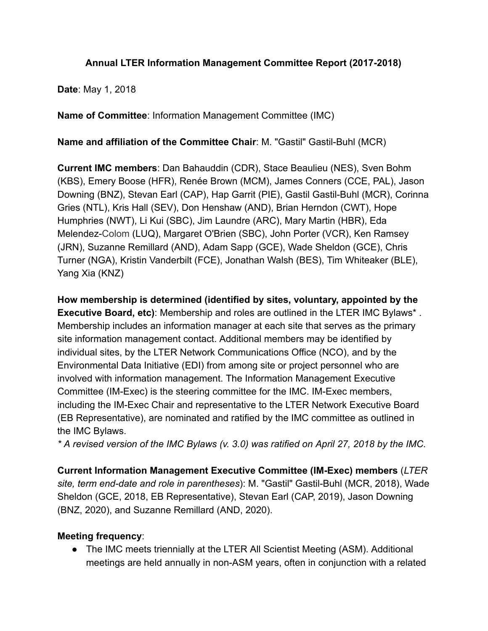## Annual LTER Information Management Committee Report (2017-2018)

**Date: May 1, 2018** 

Name of Committee: Information Management Committee (IMC)

Name and affiliation of the Committee Chair: M. "Gastil" Gastil-Buhl (MCR)

**Current IMC members: Dan Bahauddin (CDR), Stace Beaulieu (NES), Sven Bohm** (KBS), Emery Boose (HFR), Renée Brown (MCM), James Conners (CCE, PAL), Jason Downing (BNZ), Stevan Earl (CAP), Hap Garrit (PIE), Gastil Gastil-Buhl (MCR), Corinna Gries (NTL), Kris Hall (SEV), Don Henshaw (AND), Brian Herndon (CWT), Hope Humphries (NWT), Li Kui (SBC), Jim Laundre (ARC), Mary Martin (HBR), Eda Melendez-Colom (LUQ), Margaret O'Brien (SBC), John Porter (VCR), Ken Ramsey (JRN), Suzanne Remillard (AND), Adam Sapp (GCE), Wade Sheldon (GCE), Chris Turner (NGA), Kristin Vanderbilt (FCE), Jonathan Walsh (BES), Tim Whiteaker (BLE), Yang Xia (KNZ)

How membership is determined (identified by sites, voluntary, appointed by the **Executive Board, etc):** Membership and roles are outlined in the LTER IMC Bylaws<sup>\*</sup>. Membership includes an information manager at each site that serves as the primary site information management contact. Additional members may be identified by individual sites, by the LTER Network Communications Office (NCO), and by the Environmental Data Initiative (EDI) from among site or project personnel who are involved with information management. The Information Management Executive Committee (IM-Exec) is the steering committee for the IMC. IM-Exec members, including the IM-Exec Chair and representative to the LTER Network Executive Board (EB Representative), are nominated and ratified by the IMC committee as outlined in the IMC Bylaws.

\* A revised version of the IMC Bylaws (v. 3.0) was ratified on April 27, 2018 by the IMC.

Current Information Management Executive Committee (IM-Exec) members ( LTER site, term end-date and role in parentheses): M. "Gastil" Gastil-Buhl (MCR, 2018), Wade Sheldon (GCE, 2018, EB Representative), Stevan Earl (CAP, 2019), Jason Downing (BNZ, 2020), and Suzanne Remillard (AND, 2020).

# Meeting frequency:

● The IMC meets triennially at the LTER All Scientist Meeting (ASM). Additional meetings are held annually in non-ASM years, often in conjunction with a related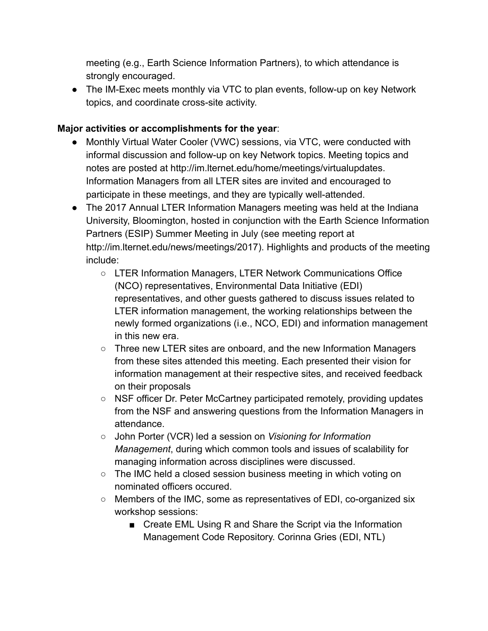meeting (e.g., Earth Science Information Partners), to which attendance is strongly encouraged.

● The IM-Exec meets monthly via VTC to plan events, follow-up on key Network topics, and coordinate cross-site activity.

## Major activities or accomplishments for the year :

- Monthly Virtual Water Cooler (VWC) sessions, via VTC, were conducted with informal discussion and follow-up on key Network topics. Meeting topics and notes are posted at http://im.lternet.edu/home/meetings/virtualupdates. Information Managers from all LTER sites are invited and encouraged to participate in these meetings, and they are typically well-attended.
- The 2017 Annual LTER Information Managers meeting was held at the Indiana University, Bloomington, hosted in conjunction with the Earth Science Information Partners (ESIP) Summer Meeting in July (see meeting report at http://im.lternet.edu/news/meetings/2017). Highlights and products of the meeting include:
	- LTER Information Managers, LTER Network Communications Office (NCO) representatives, Environmental Data Initiative (EDI) representatives, and other guests gathered to discuss issues related to LTER information management, the working relationships between the newly formed organizations (i.e., NCO, EDI) and information management in this new era.
	- Three new LTER sites are onboard, and the new Information Managers from these sites attended this meeting. Each presented their vision for information management at their respective sites, and received feedback on their proposals
	- NSF officer Dr. Peter McCartney participated remotely, providing updates from the NSF and answering questions from the Information Managers in attendance.
	- John Porter (VCR) led a session on Visioning for Information Management, during which common tools and issues of scalability for managing information across disciplines were discussed.
	- The IMC held a closed session business meeting in which voting on nominated officers occured.
	- Members of the IMC, some as representatives of EDI, co-organized six workshop sessions:
		- Create EML Using R and Share the Script via the Information Management Code Repository. Corinna Gries (EDI, NTL)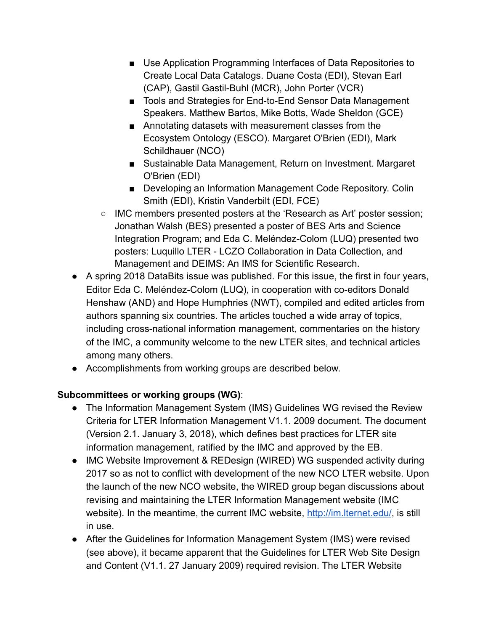- Use Application Programming Interfaces of Data Repositories to Create Local Data Catalogs. Duane Costa (EDI), Stevan Earl (CAP), Gastil Gastil-Buhl (MCR), John Porter (VCR)
- Tools and Strategies for End-to-End Sensor Data Management Speakers. Matthew Bartos, Mike Botts, Wade Sheldon (GCE)
- Annotating datasets with measurement classes from the Ecosystem Ontology (ESCO). Margaret O'Brien (EDI), Mark Schildhauer (NCO)
- Sustainable Data Management, Return on Investment. Margaret O'Brien (EDI)
- Developing an Information Management Code Repository. Colin Smith (EDI), Kristin Vanderbilt (EDI, FCE)
- IMC members presented posters at the 'Research as Art' poster session; Jonathan Walsh (BES) presented a poster of BES Arts and Science Integration Program; and Eda C. Meléndez-Colom (LUQ) presented two posters: Luquillo LTER - LCZO Collaboration in Data Collection, and Management and DEIMS: An IMS for Scientific Research.
- A spring 2018 DataBits issue was published. For this issue, the first in four years, Editor Eda C. Meléndez-Colom (LUQ), in cooperation with co-editors Donald Henshaw (AND) and Hope Humphries (NWT), compiled and edited articles from authors spanning six countries. The articles touched a wide array of topics, including cross-national information management, commentaries on the history of the IMC, a community welcome to the new LTER sites, and technical articles among many others.
- Accomplishments from working groups are described below.

# Subcommittees or working groups (WG):

- The Information Management System (IMS) Guidelines WG revised the Review Criteria for LTER Information Management V1.1. 2009 document. The document (Version 2.1. January 3, 2018), which defines best practices for LTER site information management, ratified by the IMC and approved by the EB.
- IMC Website Improvement & REDesign (WIRED) WG suspended activity during 2017 so as not to conflict with development of the new NCO LTER website. Upon the launch of the new NCO website, the WIRED group began discussions about revising and maintaining the LTER Information Management website (IMC website). In the meantime, the current IMC website, <http://im.lternet.edu/>, is still in use.
- After the Guidelines for Information Management System (IMS) were revised (see above), it became apparent that the Guidelines for LTER Web Site Design and Content (V1.1. 27 January 2009) required revision. The LTER Website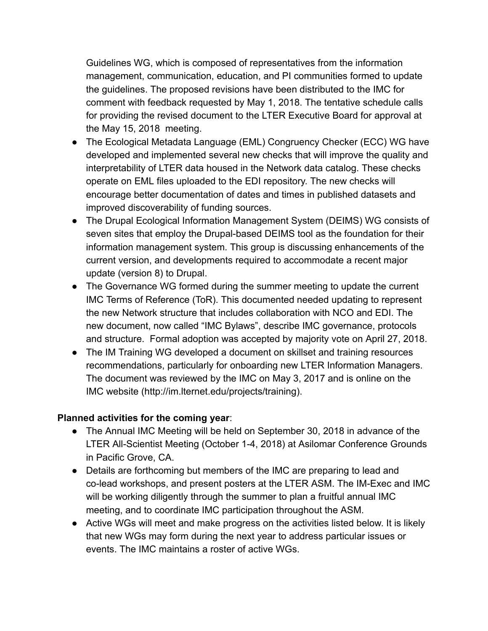Guidelines WG, which is composed of representatives from the information management, communication, education, and PI communities formed to update the guidelines. The proposed revisions have been distributed to the IMC for comment with feedback requested by May 1, 2018. The tentative schedule calls for providing the revised document to the LTER Executive Board for approval at the May 15, 2018 meeting.

- The Ecological Metadata Language (EML) Congruency Checker (ECC) WG have developed and implemented several new checks that will improve the quality and interpretability of LTER data housed in the Network data catalog. These checks operate on EML files uploaded to the EDI repository. The new checks will encourage better documentation of dates and times in published datasets and improved discoverability of funding sources.
- The Drupal Ecological Information Management System (DEIMS) WG consists of seven sites that employ the Drupal-based DEIMS tool as the foundation for their information management system. This group is discussing enhancements of the current version, and developments required to accommodate a recent major update (version 8) to Drupal.
- The Governance WG formed during the summer meeting to update the current IMC Terms of Reference (ToR). This documented needed updating to represent the new Network structure that includes collaboration with NCO and EDI. The new document, now called "IMC Bylaws", describe IMC governance, protocols and structure. Formal adoption was accepted by majority vote on April 27, 2018.
- The IM Training WG developed a document on skillset and training resources recommendations, particularly for onboarding new LTER Information Managers. The document was reviewed by the IMC on May 3, 2017 and is online on the IMC website (http://im.lternet.edu/projects/training).

# Planned activities for the coming year:

- The Annual IMC Meeting will be held on September 30, 2018 in advance of the LTER All-Scientist Meeting (October 1-4, 2018) at Asilomar Conference Grounds in Pacific Grove, CA.
- Details are forthcoming but members of the IMC are preparing to lead and co-lead workshops, and present posters at the LTER ASM. The IM-Exec and IMC will be working diligently through the summer to plan a fruitful annual IMC meeting, and to coordinate IMC participation throughout the ASM.
- Active WGs will meet and make progress on the activities listed below. It is likely that new WGs may form during the next year to address particular issues or events. The IMC maintains a roster of active WGs.